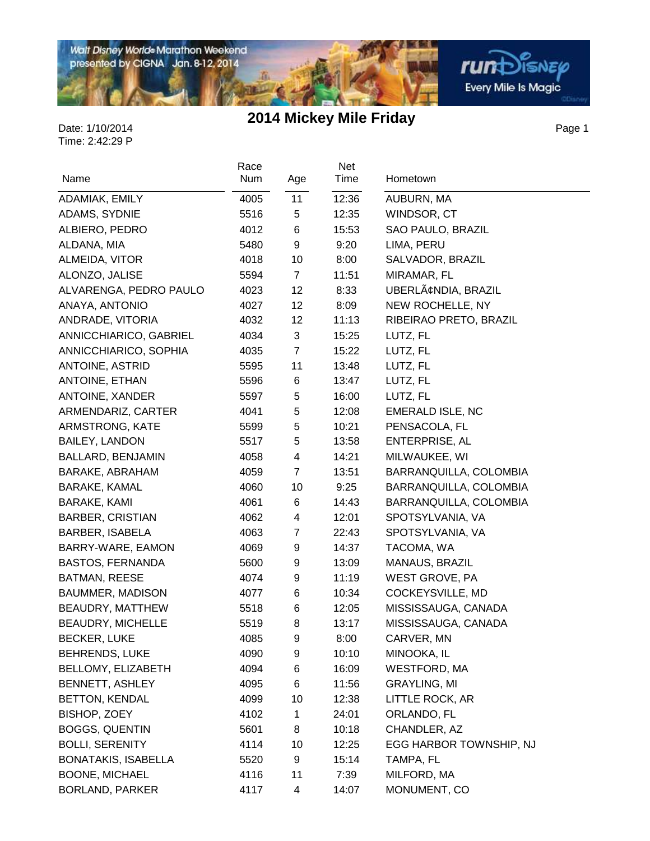Walt Disney Worlds Marathon Weekend<br>presented by CIGNA Jan. 8-12, 2014

## **2014 Mickey Mile Friday**

Œ.

**rum**Disnep

**Every Mile Is Magic** 

Page 1

| Name                       | Race<br>Num | Age            | Net<br>Time | Hometown                        |
|----------------------------|-------------|----------------|-------------|---------------------------------|
| ADAMIAK, EMILY             | 4005        | 11             | 12:36       | AUBURN, MA                      |
| ADAMS, SYDNIE              | 5516        | 5              | 12:35       | WINDSOR, CT                     |
| ALBIERO, PEDRO             | 4012        | 6              | 15:53       | SAO PAULO, BRAZIL               |
| ALDANA, MIA                | 5480        | 9              | 9:20        | LIMA, PERU                      |
|                            |             | 10             |             |                                 |
| ALMEIDA, VITOR             | 4018        |                | 8:00        | SALVADOR, BRAZIL<br>MIRAMAR, FL |
| ALONZO, JALISE             | 5594        | $\overline{7}$ | 11:51       | UBERLâNDIA, BRAZIL              |
| ALVARENGA, PEDRO PAULO     | 4023        | 12<br>12       | 8:33        | NEW ROCHELLE, NY                |
| ANAYA, ANTONIO             | 4027        |                | 8:09        |                                 |
| ANDRADE, VITORIA           | 4032        | 12             | 11:13       | RIBEIRAO PRETO, BRAZIL          |
| ANNICCHIARICO, GABRIEL     | 4034        | 3              | 15:25       | LUTZ, FL                        |
| ANNICCHIARICO, SOPHIA      | 4035        | $\overline{7}$ | 15:22       | LUTZ, FL                        |
| ANTOINE, ASTRID            | 5595        | 11             | 13:48       | LUTZ, FL                        |
| ANTOINE, ETHAN             | 5596        | 6              | 13:47       | LUTZ, FL                        |
| ANTOINE, XANDER            | 5597        | 5              | 16:00       | LUTZ, FL                        |
| ARMENDARIZ, CARTER         | 4041        | 5              | 12:08       | <b>EMERALD ISLE, NC</b>         |
| ARMSTRONG, KATE            | 5599        | 5              | 10:21       | PENSACOLA, FL                   |
| <b>BAILEY, LANDON</b>      | 5517        | 5              | 13:58       | ENTERPRISE, AL                  |
| BALLARD, BENJAMIN          | 4058        | 4              | 14:21       | MILWAUKEE, WI                   |
| <b>BARAKE, ABRAHAM</b>     | 4059        | $\overline{7}$ | 13:51       | BARRANQUILLA, COLOMBIA          |
| <b>BARAKE, KAMAL</b>       | 4060        | 10             | 9:25        | BARRANQUILLA, COLOMBIA          |
| <b>BARAKE, KAMI</b>        | 4061        | 6              | 14:43       | BARRANQUILLA, COLOMBIA          |
| <b>BARBER, CRISTIAN</b>    | 4062        | 4              | 12:01       | SPOTSYLVANIA, VA                |
| <b>BARBER, ISABELA</b>     | 4063        | $\overline{7}$ | 22:43       | SPOTSYLVANIA, VA                |
| BARRY-WARE, EAMON          | 4069        | 9              | 14:37       | TACOMA, WA                      |
| <b>BASTOS, FERNANDA</b>    | 5600        | 9              | 13:09       | MANAUS, BRAZIL                  |
| BATMAN, REESE              | 4074        | 9              | 11:19       | WEST GROVE, PA                  |
| BAUMMER, MADISON           | 4077        | 6              | 10:34       | COCKEYSVILLE, MD                |
| BEAUDRY, MATTHEW           | 5518        | 6              | 12:05       | MISSISSAUGA, CANADA             |
| BEAUDRY, MICHELLE          | 5519        | 8              | 13:17       | MISSISSAUGA, CANADA             |
| <b>BECKER, LUKE</b>        | 4085        | 9              | 8:00        | CARVER, MN                      |
| <b>BEHRENDS, LUKE</b>      | 4090        | 9              | 10:10       | MINOOKA, IL                     |
| BELLOMY, ELIZABETH         | 4094        | 6              | 16:09       | <b>WESTFORD, MA</b>             |
| <b>BENNETT, ASHLEY</b>     | 4095        | 6              | 11:56       | <b>GRAYLING, MI</b>             |
| <b>BETTON, KENDAL</b>      | 4099        | 10             | 12:38       | LITTLE ROCK, AR                 |
| BISHOP, ZOEY               | 4102        | 1              | 24:01       | ORLANDO, FL                     |
| <b>BOGGS, QUENTIN</b>      | 5601        | 8              | 10:18       | CHANDLER, AZ                    |
| <b>BOLLI, SERENITY</b>     | 4114        | 10             | 12:25       | EGG HARBOR TOWNSHIP, NJ         |
| <b>BONATAKIS, ISABELLA</b> | 5520        | 9              | 15:14       | TAMPA, FL                       |
| <b>BOONE, MICHAEL</b>      | 4116        | 11             | 7:39        | MILFORD, MA                     |
| <b>BORLAND, PARKER</b>     | 4117        | 4              | 14:07       | MONUMENT, CO                    |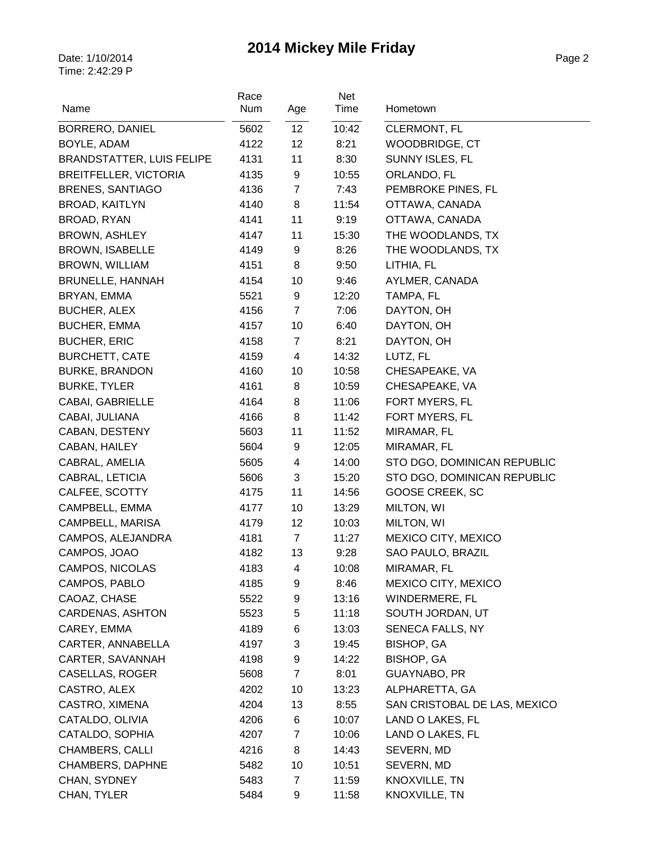| Name                             | Race<br>Num | Age            | Net<br>Time | Hometown                     |
|----------------------------------|-------------|----------------|-------------|------------------------------|
| <b>BORRERO, DANIEL</b>           | 5602        | 12             | 10:42       | <b>CLERMONT, FL</b>          |
| BOYLE, ADAM                      | 4122        | 12             | 8:21        | WOODBRIDGE, CT               |
| <b>BRANDSTATTER, LUIS FELIPE</b> | 4131        | 11             | 8:30        | SUNNY ISLES, FL              |
| <b>BREITFELLER, VICTORIA</b>     | 4135        | 9              | 10:55       | ORLANDO, FL                  |
| <b>BRENES, SANTIAGO</b>          | 4136        | $\overline{7}$ | 7:43        | PEMBROKE PINES, FL           |
| <b>BROAD, KAITLYN</b>            | 4140        | 8              | 11:54       | OTTAWA, CANADA               |
| BROAD, RYAN                      | 4141        | 11             | 9:19        | OTTAWA, CANADA               |
| BROWN, ASHLEY                    | 4147        | 11             | 15:30       | THE WOODLANDS, TX            |
| <b>BROWN, ISABELLE</b>           | 4149        | 9              | 8:26        | THE WOODLANDS, TX            |
| BROWN, WILLIAM                   | 4151        | 8              | 9:50        | LITHIA, FL                   |
| <b>BRUNELLE, HANNAH</b>          | 4154        | 10             | 9:46        | AYLMER, CANADA               |
| BRYAN, EMMA                      | 5521        | 9              | 12:20       | TAMPA, FL                    |
| <b>BUCHER, ALEX</b>              | 4156        | $\overline{7}$ | 7:06        | DAYTON, OH                   |
| <b>BUCHER, EMMA</b>              | 4157        | 10             | 6:40        | DAYTON, OH                   |
| <b>BUCHER, ERIC</b>              | 4158        | $\overline{7}$ | 8:21        | DAYTON, OH                   |
| <b>BURCHETT, CATE</b>            | 4159        | 4              | 14:32       | LUTZ, FL                     |
| <b>BURKE, BRANDON</b>            | 4160        | 10             | 10:58       | CHESAPEAKE, VA               |
| <b>BURKE, TYLER</b>              | 4161        | 8              | 10:59       | CHESAPEAKE, VA               |
| CABAI, GABRIELLE                 | 4164        | 8              | 11:06       | FORT MYERS, FL               |
| CABAI, JULIANA                   | 4166        | 8              | 11:42       | FORT MYERS, FL               |
| CABAN, DESTENY                   | 5603        | 11             | 11:52       | MIRAMAR, FL                  |
| CABAN, HAILEY                    | 5604        | 9              | 12:05       | MIRAMAR, FL                  |
| CABRAL, AMELIA                   | 5605        | 4              | 14:00       | STO DGO, DOMINICAN REPUBLIC  |
| CABRAL, LETICIA                  | 5606        | 3              | 15:20       | STO DGO, DOMINICAN REPUBLIC  |
| CALFEE, SCOTTY                   | 4175        | 11             | 14:56       | GOOSE CREEK, SC              |
| CAMPBELL, EMMA                   | 4177        | 10             | 13:29       | MILTON, WI                   |
| CAMPBELL, MARISA                 | 4179        | 12             | 10:03       | MILTON, WI                   |
| CAMPOS, ALEJANDRA                | 4181        | $\overline{7}$ | 11:27       | MEXICO CITY, MEXICO          |
| CAMPOS, JOAO                     | 4182        | 13             | 9:28        | SAO PAULO, BRAZIL            |
| CAMPOS, NICOLAS                  | 4183        | 4              | 10:08       | MIRAMAR, FL                  |
| CAMPOS, PABLO                    | 4185        | 9              | 8:46        | MEXICO CITY, MEXICO          |
| CAOAZ, CHASE                     | 5522        | 9              | 13:16       | WINDERMERE, FL               |
| <b>CARDENAS, ASHTON</b>          | 5523        | 5              | 11:18       | SOUTH JORDAN, UT             |
| CAREY, EMMA                      | 4189        | 6              | 13:03       | SENECA FALLS, NY             |
| CARTER, ANNABELLA                | 4197        | 3              | 19:45       | <b>BISHOP, GA</b>            |
| CARTER, SAVANNAH                 | 4198        | 9              | 14:22       | <b>BISHOP, GA</b>            |
| CASELLAS, ROGER                  | 5608        | $\overline{7}$ | 8:01        | GUAYNABO, PR                 |
| CASTRO, ALEX                     | 4202        | 10             | 13:23       | ALPHARETTA, GA               |
| CASTRO, XIMENA                   | 4204        | 13             | 8:55        | SAN CRISTOBAL DE LAS, MEXICO |
| CATALDO, OLIVIA                  | 4206        | 6              | 10:07       | LAND O LAKES, FL             |
| CATALDO, SOPHIA                  | 4207        | $\overline{7}$ | 10:06       | LAND O LAKES, FL             |
| <b>CHAMBERS, CALLI</b>           | 4216        | 8              | 14:43       | SEVERN, MD                   |
| CHAMBERS, DAPHNE                 | 5482        | 10             | 10:51       | SEVERN, MD                   |
| CHAN, SYDNEY                     | 5483        | $\overline{7}$ | 11:59       | KNOXVILLE, TN                |
| CHAN, TYLER                      | 5484        | 9              | 11:58       | KNOXVILLE, TN                |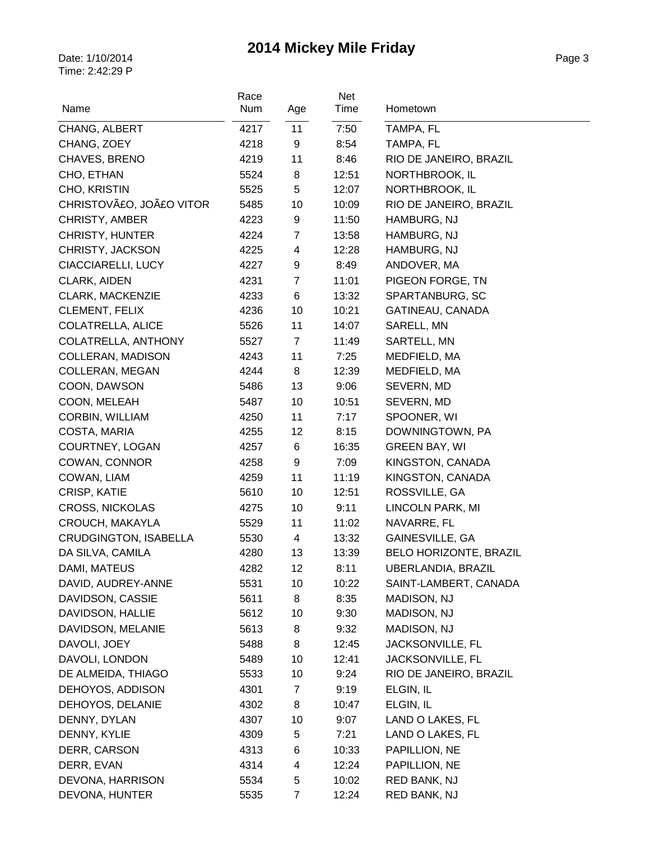| Name                         | Race<br>Num | Age            | Net<br>Time | Hometown                      |
|------------------------------|-------------|----------------|-------------|-------------------------------|
| CHANG, ALBERT                | 4217        | 11             | 7:50        | TAMPA, FL                     |
| CHANG, ZOEY                  | 4218        | 9              | 8:54        | TAMPA, FL                     |
| CHAVES, BRENO                | 4219        | 11             | 8:46        | RIO DE JANEIRO, BRAZIL        |
| CHO, ETHAN                   | 5524        | 8              | 12:51       | NORTHBROOK, IL                |
| CHO, KRISTIN                 | 5525        | 5              | 12:07       | NORTHBROOK, IL                |
| CHRISTOVãO, JOãO VITOR       | 5485        | 10             | 10:09       | RIO DE JANEIRO, BRAZIL        |
| CHRISTY, AMBER               | 4223        | 9              | 11:50       | HAMBURG, NJ                   |
| <b>CHRISTY, HUNTER</b>       | 4224        | $\overline{7}$ | 13:58       | HAMBURG, NJ                   |
| CHRISTY, JACKSON             | 4225        | 4              | 12:28       | HAMBURG, NJ                   |
| CIACCIARELLI, LUCY           | 4227        | 9              | 8:49        | ANDOVER, MA                   |
| CLARK, AIDEN                 | 4231        | $\overline{7}$ | 11:01       | PIGEON FORGE, TN              |
| <b>CLARK, MACKENZIE</b>      | 4233        | 6              | 13:32       | SPARTANBURG, SC               |
| CLEMENT, FELIX               | 4236        | 10             | 10:21       | GATINEAU, CANADA              |
| <b>COLATRELLA, ALICE</b>     | 5526        | 11             | 14:07       | SARELL, MN                    |
| COLATRELLA, ANTHONY          | 5527        | $\overline{7}$ | 11:49       | SARTELL, MN                   |
| COLLERAN, MADISON            | 4243        | 11             | 7:25        | MEDFIELD, MA                  |
| <b>COLLERAN, MEGAN</b>       | 4244        | 8              | 12:39       | MEDFIELD, MA                  |
| COON, DAWSON                 | 5486        | 13             | 9:06        | SEVERN, MD                    |
| COON, MELEAH                 | 5487        | 10             | 10:51       | SEVERN, MD                    |
| <b>CORBIN, WILLIAM</b>       | 4250        | 11             | 7:17        | SPOONER, WI                   |
| COSTA, MARIA                 | 4255        | 12             | 8:15        | DOWNINGTOWN, PA               |
| COURTNEY, LOGAN              | 4257        | 6              | 16:35       | <b>GREEN BAY, WI</b>          |
| COWAN, CONNOR                | 4258        | 9              | 7:09        | KINGSTON, CANADA              |
| COWAN, LIAM                  | 4259        | 11             | 11:19       | KINGSTON, CANADA              |
| CRISP, KATIE                 | 5610        | 10             | 12:51       | ROSSVILLE, GA                 |
| <b>CROSS, NICKOLAS</b>       | 4275        | 10             | 9:11        | LINCOLN PARK, MI              |
| CROUCH, MAKAYLA              | 5529        | 11             | 11:02       | NAVARRE, FL                   |
| <b>CRUDGINGTON, ISABELLA</b> | 5530        | 4              | 13:32       | GAINESVILLE, GA               |
| DA SILVA, CAMILA             | 4280        | 13             | 13:39       | <b>BELO HORIZONTE, BRAZIL</b> |
| DAMI, MATEUS                 | 4282        | 12             | 8:11        | UBERLANDIA, BRAZIL            |
| DAVID, AUDREY-ANNE           | 5531        | 10             | 10:22       | SAINT-LAMBERT, CANADA         |
| DAVIDSON, CASSIE             | 5611        | 8              | 8:35        | MADISON, NJ                   |
| DAVIDSON, HALLIE             | 5612        | 10             | 9:30        | MADISON, NJ                   |
| DAVIDSON, MELANIE            | 5613        | 8              | 9:32        | MADISON, NJ                   |
| DAVOLI, JOEY                 | 5488        | 8              | 12:45       | JACKSONVILLE, FL              |
| DAVOLI, LONDON               | 5489        | 10             | 12:41       | JACKSONVILLE, FL              |
| DE ALMEIDA, THIAGO           | 5533        | 10             | 9:24        | RIO DE JANEIRO, BRAZIL        |
| DEHOYOS, ADDISON             | 4301        | 7              | 9:19        | ELGIN, IL                     |
| DEHOYOS, DELANIE             | 4302        | 8              | 10:47       | ELGIN, IL                     |
| DENNY, DYLAN                 | 4307        | 10             | 9:07        | LAND O LAKES, FL              |
| DENNY, KYLIE                 | 4309        | 5              | 7:21        | LAND O LAKES, FL              |
| DERR, CARSON                 | 4313        | 6              | 10:33       | PAPILLION, NE                 |
| DERR, EVAN                   | 4314        | 4              | 12:24       | PAPILLION, NE                 |
| DEVONA, HARRISON             | 5534        | 5              | 10:02       | RED BANK, NJ                  |
| DEVONA, HUNTER               | 5535        | $\overline{7}$ | 12:24       | RED BANK, NJ                  |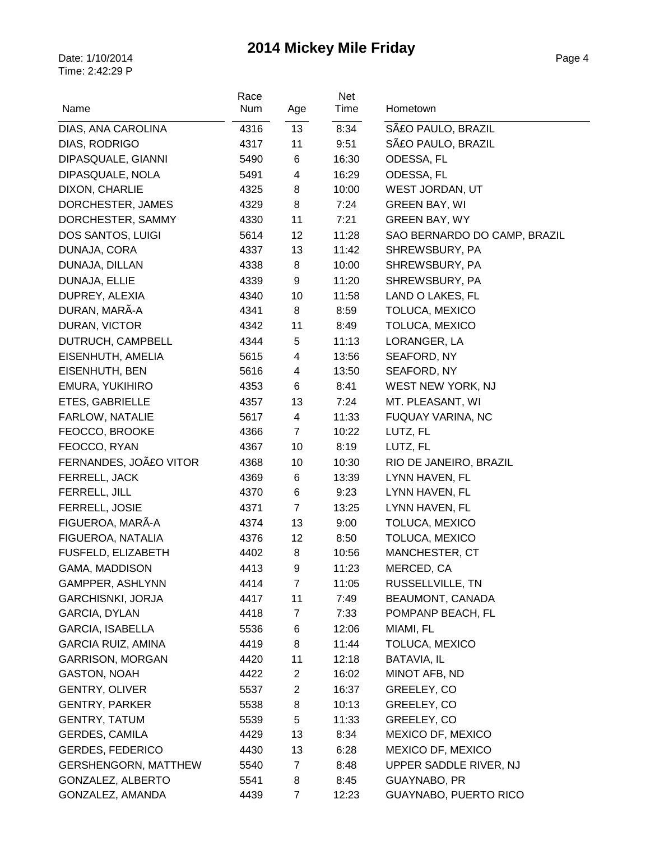| Name                                  | Race<br>Num | Age                 | Net<br>Time | Hometown                                     |
|---------------------------------------|-------------|---------------------|-------------|----------------------------------------------|
| DIAS, ANA CAROLINA                    | 4316        | 13                  | 8:34        | SãO PAULO, BRAZIL                            |
| DIAS, RODRIGO                         | 4317        | 11                  | 9:51        | SãO PAULO, BRAZIL                            |
| DIPASQUALE, GIANNI                    | 5490        | 6                   | 16:30       | ODESSA, FL                                   |
| DIPASQUALE, NOLA                      | 5491        | 4                   | 16:29       | ODESSA, FL                                   |
| DIXON, CHARLIE                        | 4325        | 8                   | 10:00       | WEST JORDAN, UT                              |
| DORCHESTER, JAMES                     | 4329        | 8                   | 7:24        | <b>GREEN BAY, WI</b>                         |
| DORCHESTER, SAMMY                     | 4330        | 11                  | 7:21        | <b>GREEN BAY, WY</b>                         |
| DOS SANTOS, LUIGI                     | 5614        | 12                  | 11:28       | SAO BERNARDO DO CAMP, BRAZIL                 |
| DUNAJA, CORA                          | 4337        | 13                  | 11:42       | SHREWSBURY, PA                               |
| DUNAJA, DILLAN                        | 4338        | 8                   | 10:00       | SHREWSBURY, PA                               |
| DUNAJA, ELLIE                         | 4339        | 9                   | 11:20       | SHREWSBURY, PA                               |
| DUPREY, ALEXIA                        | 4340        | 10                  | 11:58       | LAND O LAKES, FL                             |
| DURAN, MARÃ-A                         | 4341        | 8                   | 8:59        | TOLUCA, MEXICO                               |
| DURAN, VICTOR                         | 4342        | 11                  | 8:49        | TOLUCA, MEXICO                               |
| DUTRUCH, CAMPBELL                     | 4344        | 5                   | 11:13       | LORANGER, LA                                 |
| EISENHUTH, AMELIA                     | 5615        | 4                   | 13:56       | SEAFORD, NY                                  |
| EISENHUTH, BEN                        | 5616        | 4                   | 13:50       | SEAFORD, NY                                  |
| EMURA, YUKIHIRO                       | 4353        | 6                   | 8:41        | WEST NEW YORK, NJ                            |
| ETES, GABRIELLE                       | 4357        | 13                  | 7:24        | MT. PLEASANT, WI                             |
| FARLOW, NATALIE                       | 5617        | 4                   | 11:33       | FUQUAY VARINA, NC                            |
| FEOCCO, BROOKE                        | 4366        | $\overline{7}$      | 10:22       | LUTZ, FL                                     |
| FEOCCO, RYAN                          | 4367        | 10                  | 8:19        | LUTZ, FL                                     |
| FERNANDES, JOãO VITOR                 | 4368        | 10                  | 10:30       | RIO DE JANEIRO, BRAZIL                       |
| FERRELL, JACK                         | 4369        | 6                   | 13:39       | LYNN HAVEN, FL                               |
| FERRELL, JILL                         | 4370        | 6                   | 9:23        | LYNN HAVEN, FL                               |
| FERRELL, JOSIE                        | 4371        | $\overline{7}$      | 13:25       | LYNN HAVEN, FL                               |
| FIGUEROA, MARÃ-A                      | 4374        | 13                  | 9:00        | TOLUCA, MEXICO                               |
| FIGUEROA, NATALIA                     | 4376        | 12                  | 8:50        | TOLUCA, MEXICO                               |
| FUSFELD, ELIZABETH                    | 4402        | 8                   | 10:56       | MANCHESTER, CT                               |
| GAMA, MADDISON                        | 4413        | 9                   | 11:23       | MERCED, CA                                   |
| GAMPPER, ASHLYNN                      | 4414        | $\overline{7}$      | 11:05       | RUSSELLVILLE, TN                             |
| <b>GARCHISNKI, JORJA</b>              | 4417        | 11                  | 7:49        | BEAUMONT, CANADA                             |
| GARCIA, DYLAN                         | 4418        | 7                   | 7:33        | POMPANP BEACH, FL                            |
| <b>GARCIA, ISABELLA</b>               | 5536        | 6                   | 12:06       | MIAMI, FL                                    |
| <b>GARCIA RUIZ, AMINA</b>             | 4419        | 8                   | 11:44       | TOLUCA, MEXICO                               |
| <b>GARRISON, MORGAN</b>               | 4420        | 11                  | 12:18       | BATAVIA, IL                                  |
| GASTON, NOAH                          | 4422        | $\overline{2}$      | 16:02       | MINOT AFB, ND                                |
| <b>GENTRY, OLIVER</b>                 | 5537        | $\overline{c}$      | 16:37       | GREELEY, CO                                  |
| <b>GENTRY, PARKER</b>                 | 5538        | 8                   | 10:13       | GREELEY, CO                                  |
| <b>GENTRY, TATUM</b>                  | 5539        | 5                   | 11:33       | GREELEY, CO                                  |
| <b>GERDES, CAMILA</b>                 | 4429        | 13                  | 8:34        | MEXICO DF, MEXICO                            |
| <b>GERDES, FEDERICO</b>               | 4430        | 13                  | 6:28        | MEXICO DF, MEXICO                            |
| <b>GERSHENGORN, MATTHEW</b>           | 5540        | 7                   | 8:48        | UPPER SADDLE RIVER, NJ                       |
| GONZALEZ, ALBERTO<br>GONZALEZ, AMANDA | 5541        | 8<br>$\overline{7}$ | 8:45        | <b>GUAYNABO, PR</b><br>GUAYNABO, PUERTO RICO |
|                                       | 4439        |                     | 12:23       |                                              |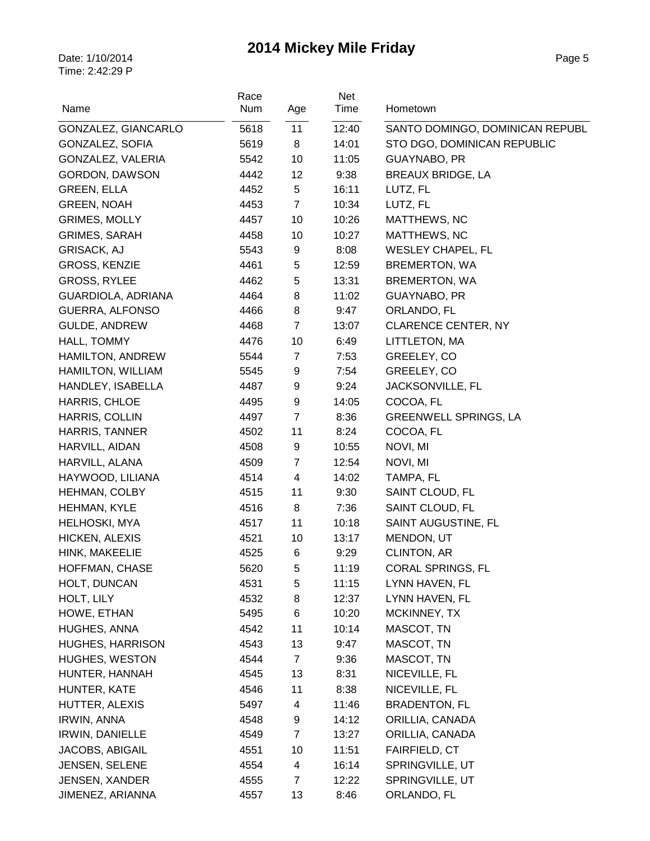|                         | Race |                | Net   |                                 |
|-------------------------|------|----------------|-------|---------------------------------|
| Name                    | Num  | Age            | Time  | Hometown                        |
| GONZALEZ, GIANCARLO     | 5618 | 11             | 12:40 | SANTO DOMINGO, DOMINICAN REPUBL |
| GONZALEZ, SOFIA         | 5619 | 8              | 14:01 | STO DGO, DOMINICAN REPUBLIC     |
| GONZALEZ, VALERIA       | 5542 | 10             | 11:05 | <b>GUAYNABO, PR</b>             |
| GORDON, DAWSON          | 4442 | 12             | 9:38  | <b>BREAUX BRIDGE, LA</b>        |
| GREEN, ELLA             | 4452 | 5              | 16:11 | LUTZ, FL                        |
| <b>GREEN, NOAH</b>      | 4453 | $\overline{7}$ | 10:34 | LUTZ, FL                        |
| <b>GRIMES, MOLLY</b>    | 4457 | 10             | 10:26 | MATTHEWS, NC                    |
| <b>GRIMES, SARAH</b>    | 4458 | 10             | 10:27 | MATTHEWS, NC                    |
| GRISACK, AJ             | 5543 | 9              | 8:08  | <b>WESLEY CHAPEL, FL</b>        |
| <b>GROSS, KENZIE</b>    | 4461 | 5              | 12:59 | BREMERTON, WA                   |
| <b>GROSS, RYLEE</b>     | 4462 | 5              | 13:31 | BREMERTON, WA                   |
| GUARDIOLA, ADRIANA      | 4464 | 8              | 11:02 | <b>GUAYNABO, PR</b>             |
| <b>GUERRA, ALFONSO</b>  | 4466 | 8              | 9:47  | ORLANDO, FL                     |
| <b>GULDE, ANDREW</b>    | 4468 | $\overline{7}$ | 13:07 | <b>CLARENCE CENTER, NY</b>      |
| HALL, TOMMY             | 4476 | 10             | 6:49  | LITTLETON, MA                   |
| <b>HAMILTON, ANDREW</b> | 5544 | $\overline{7}$ | 7:53  | GREELEY, CO                     |
| HAMILTON, WILLIAM       | 5545 | 9              | 7:54  | GREELEY, CO                     |
| HANDLEY, ISABELLA       | 4487 | 9              | 9:24  | JACKSONVILLE, FL                |
| HARRIS, CHLOE           | 4495 | 9              | 14:05 | COCOA, FL                       |
| HARRIS, COLLIN          | 4497 | $\overline{7}$ | 8:36  | <b>GREENWELL SPRINGS, LA</b>    |
| HARRIS, TANNER          | 4502 | 11             | 8:24  | COCOA, FL                       |
| HARVILL, AIDAN          | 4508 | 9              | 10:55 | NOVI, MI                        |
| HARVILL, ALANA          | 4509 | $\overline{7}$ | 12:54 | NOVI, MI                        |
| HAYWOOD, LILIANA        | 4514 | 4              | 14:02 | TAMPA, FL                       |
| <b>HEHMAN, COLBY</b>    | 4515 | 11             | 9:30  | SAINT CLOUD, FL                 |
| <b>HEHMAN, KYLE</b>     | 4516 | 8              | 7:36  | SAINT CLOUD, FL                 |
| HELHOSKI, MYA           | 4517 | 11             | 10:18 | SAINT AUGUSTINE, FL             |
| HICKEN, ALEXIS          | 4521 | 10             | 13:17 | MENDON, UT                      |
| HINK, MAKEELIE          | 4525 | 6              | 9:29  | <b>CLINTON, AR</b>              |
| HOFFMAN, CHASE          | 5620 | 5              | 11:19 | CORAL SPRINGS, FL               |
| HOLT, DUNCAN            | 4531 | 5              | 11:15 | LYNN HAVEN, FL                  |
| HOLT, LILY              | 4532 | 8              | 12:37 | LYNN HAVEN, FL                  |
| HOWE, ETHAN             | 5495 | 6              | 10:20 | MCKINNEY, TX                    |
| HUGHES, ANNA            | 4542 | 11             | 10:14 | MASCOT, TN                      |
| <b>HUGHES, HARRISON</b> | 4543 | 13             | 9:47  | MASCOT, TN                      |
| <b>HUGHES, WESTON</b>   | 4544 | 7              | 9:36  | MASCOT, TN                      |
| HUNTER, HANNAH          | 4545 | 13             | 8:31  | NICEVILLE, FL                   |
| HUNTER, KATE            | 4546 | 11             | 8:38  | NICEVILLE, FL                   |
| HUTTER, ALEXIS          | 5497 | 4              | 11:46 | <b>BRADENTON, FL</b>            |
| <b>IRWIN, ANNA</b>      | 4548 | 9              | 14:12 | ORILLIA, CANADA                 |
| IRWIN, DANIELLE         | 4549 | $\overline{7}$ | 13:27 | ORILLIA, CANADA                 |
| JACOBS, ABIGAIL         | 4551 | 10             | 11:51 | FAIRFIELD, CT                   |
| JENSEN, SELENE          | 4554 | 4              | 16:14 | SPRINGVILLE, UT                 |
| <b>JENSEN, XANDER</b>   | 4555 | 7              | 12:22 | SPRINGVILLE, UT                 |
| JIMENEZ, ARIANNA        | 4557 | 13             | 8:46  | ORLANDO, FL                     |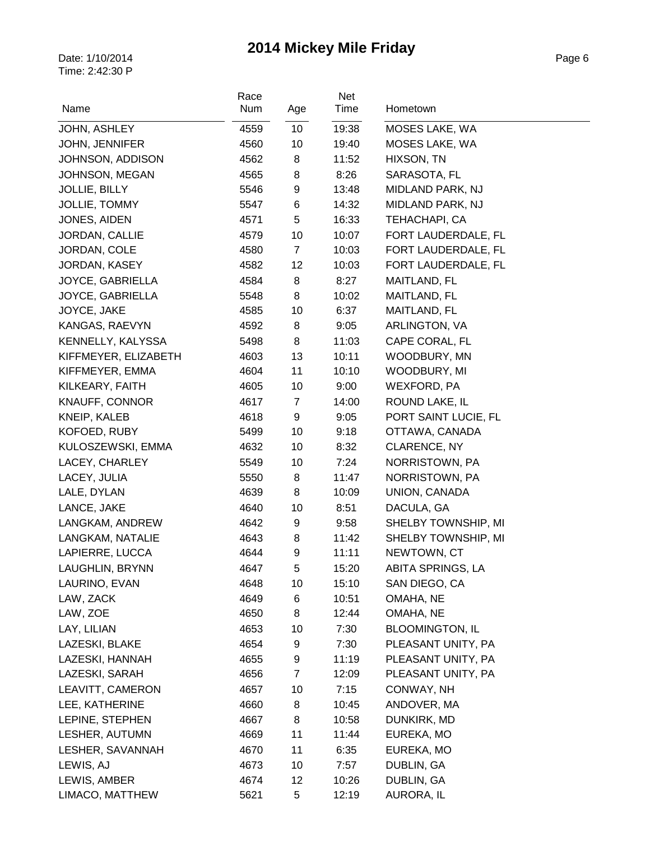|                       | Race |                | Net   |                        |
|-----------------------|------|----------------|-------|------------------------|
| Name                  | Num  | Age            | Time  | Hometown               |
| JOHN, ASHLEY          | 4559 | 10             | 19:38 | MOSES LAKE, WA         |
| <b>JOHN, JENNIFER</b> | 4560 | 10             | 19:40 | MOSES LAKE, WA         |
| JOHNSON, ADDISON      | 4562 | 8              | 11:52 | HIXSON, TN             |
| JOHNSON, MEGAN        | 4565 | 8              | 8:26  | SARASOTA, FL           |
| <b>JOLLIE, BILLY</b>  | 5546 | 9              | 13:48 | MIDLAND PARK, NJ       |
| JOLLIE, TOMMY         | 5547 | 6              | 14:32 | MIDLAND PARK, NJ       |
| JONES, AIDEN          | 4571 | 5              | 16:33 | TEHACHAPI, CA          |
| JORDAN, CALLIE        | 4579 | 10             | 10:07 | FORT LAUDERDALE, FL    |
| JORDAN, COLE          | 4580 | $\overline{7}$ | 10:03 | FORT LAUDERDALE, FL    |
| JORDAN, KASEY         | 4582 | 12             | 10:03 | FORT LAUDERDALE, FL    |
| JOYCE, GABRIELLA      | 4584 | 8              | 8:27  | MAITLAND, FL           |
| JOYCE, GABRIELLA      | 5548 | 8              | 10:02 | MAITLAND, FL           |
| JOYCE, JAKE           | 4585 | 10             | 6:37  | MAITLAND, FL           |
| KANGAS, RAEVYN        | 4592 | 8              | 9:05  | ARLINGTON, VA          |
| KENNELLY, KALYSSA     | 5498 | 8              | 11:03 | CAPE CORAL, FL         |
| KIFFMEYER, ELIZABETH  | 4603 | 13             | 10:11 | WOODBURY, MN           |
| KIFFMEYER, EMMA       | 4604 | 11             | 10:10 | WOODBURY, MI           |
| KILKEARY, FAITH       | 4605 | 10             | 9:00  | WEXFORD, PA            |
| KNAUFF, CONNOR        | 4617 | $\overline{7}$ | 14:00 | ROUND LAKE, IL         |
| KNEIP, KALEB          | 4618 | 9              | 9:05  | PORT SAINT LUCIE, FL   |
| KOFOED, RUBY          | 5499 | 10             | 9:18  | OTTAWA, CANADA         |
| KULOSZEWSKI, EMMA     | 4632 | 10             | 8:32  | <b>CLARENCE, NY</b>    |
| LACEY, CHARLEY        | 5549 | 10             | 7:24  | NORRISTOWN, PA         |
| LACEY, JULIA          | 5550 | 8              | 11:47 | NORRISTOWN, PA         |
| LALE, DYLAN           | 4639 | 8              | 10:09 | UNION, CANADA          |
| LANCE, JAKE           | 4640 | 10             | 8:51  | DACULA, GA             |
| LANGKAM, ANDREW       | 4642 | 9              | 9:58  | SHELBY TOWNSHIP, MI    |
| LANGKAM, NATALIE      | 4643 | 8              | 11:42 | SHELBY TOWNSHIP, MI    |
| LAPIERRE, LUCCA       | 4644 | 9              | 11:11 | NEWTOWN, CT            |
| LAUGHLIN, BRYNN       | 4647 | 5              | 15:20 | ABITA SPRINGS, LA      |
| LAURINO, EVAN         | 4648 | 10             | 15:10 | SAN DIEGO, CA          |
| LAW, ZACK             | 4649 | 6              | 10:51 | OMAHA, NE              |
| LAW, ZOE              | 4650 | 8              | 12:44 | OMAHA, NE              |
| LAY, LILIAN           | 4653 | 10             | 7:30  | <b>BLOOMINGTON, IL</b> |
| LAZESKI, BLAKE        | 4654 | 9              | 7:30  | PLEASANT UNITY, PA     |
| LAZESKI, HANNAH       | 4655 | 9              | 11:19 | PLEASANT UNITY, PA     |
| LAZESKI, SARAH        | 4656 | $\overline{7}$ | 12:09 | PLEASANT UNITY, PA     |
| LEAVITT, CAMERON      | 4657 | 10             | 7:15  | CONWAY, NH             |
| LEE, KATHERINE        | 4660 | 8              | 10:45 | ANDOVER, MA            |
| LEPINE, STEPHEN       | 4667 | 8              | 10:58 | DUNKIRK, MD            |
| LESHER, AUTUMN        | 4669 | 11             | 11:44 | EUREKA, MO             |
| LESHER, SAVANNAH      | 4670 | 11             | 6:35  | EUREKA, MO             |
| LEWIS, AJ             | 4673 | 10             | 7:57  | DUBLIN, GA             |
| LEWIS, AMBER          | 4674 | 12             | 10:26 | DUBLIN, GA             |
| LIMACO, MATTHEW       | 5621 | 5              | 12:19 | AURORA, IL             |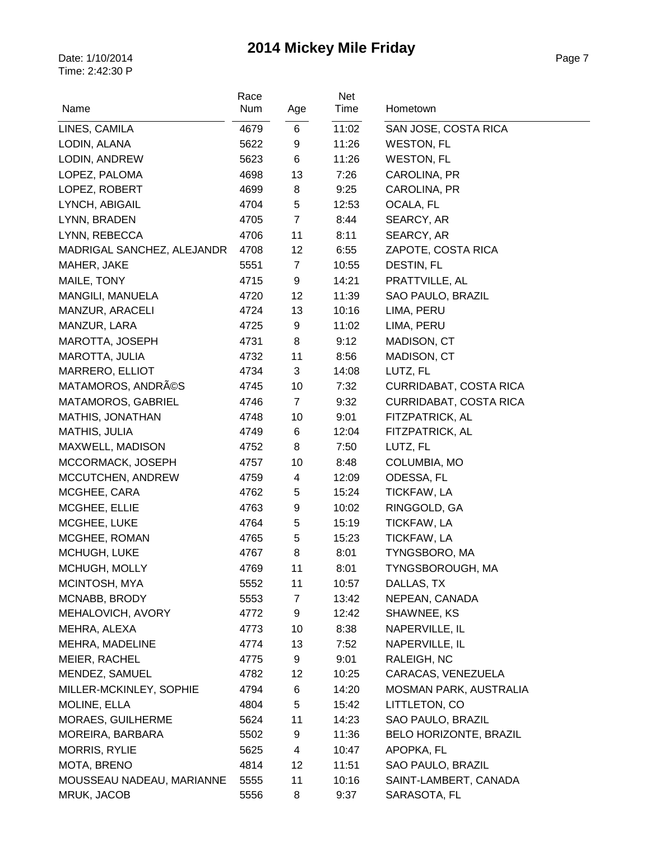| Name                                    | Race<br>Num  | Age            | Net<br>Time    | Hometown                           |
|-----------------------------------------|--------------|----------------|----------------|------------------------------------|
| LINES, CAMILA                           | 4679         | 6              | 11:02          | SAN JOSE, COSTA RICA               |
| LODIN, ALANA                            | 5622         | 9              | 11:26          | <b>WESTON, FL</b>                  |
| LODIN, ANDREW                           | 5623         | 6              | 11:26          | <b>WESTON, FL</b>                  |
| LOPEZ, PALOMA                           | 4698         | 13             | 7:26           | CAROLINA, PR                       |
| LOPEZ, ROBERT                           | 4699         | 8              | 9:25           | CAROLINA, PR                       |
| LYNCH, ABIGAIL                          | 4704         | 5              | 12:53          | OCALA, FL                          |
| LYNN, BRADEN                            | 4705         | $\overline{7}$ | 8:44           | SEARCY, AR                         |
| LYNN, REBECCA                           | 4706         | 11             | 8:11           | SEARCY, AR                         |
| MADRIGAL SANCHEZ, ALEJANDR              | 4708         | 12             | 6:55           | ZAPOTE, COSTA RICA                 |
| MAHER, JAKE                             | 5551         | $\overline{7}$ | 10:55          | DESTIN, FL                         |
| MAILE, TONY                             | 4715         | 9              | 14:21          | PRATTVILLE, AL                     |
| MANGILI, MANUELA                        | 4720         | 12             | 11:39          | SAO PAULO, BRAZIL                  |
| MANZUR, ARACELI                         | 4724         | 13             | 10:16          | LIMA, PERU                         |
| MANZUR, LARA                            | 4725         | 9              | 11:02          | LIMA, PERU                         |
| MAROTTA, JOSEPH                         | 4731         | 8              | 9:12           | MADISON, CT                        |
| MAROTTA, JULIA                          | 4732         | 11             | 8:56           | MADISON, CT                        |
| MARRERO, ELLIOT                         | 4734         | 3              | 14:08          | LUTZ, FL                           |
| MATAMOROS, ANDRÃOS                      | 4745         | 10             | 7:32           | CURRIDABAT, COSTA RICA             |
| MATAMOROS, GABRIEL                      | 4746         | $\overline{7}$ | 9:32           | CURRIDABAT, COSTA RICA             |
| MATHIS, JONATHAN                        | 4748         | 10             | 9:01           | FITZPATRICK, AL                    |
| MATHIS, JULIA                           | 4749         | 6              | 12:04          | FITZPATRICK, AL                    |
| MAXWELL, MADISON                        | 4752         | 8              | 7:50           | LUTZ, FL                           |
| MCCORMACK, JOSEPH                       | 4757         | 10             | 8:48           | COLUMBIA, MO                       |
| MCCUTCHEN, ANDREW                       | 4759         | 4              | 12:09          | ODESSA, FL                         |
| MCGHEE, CARA                            | 4762         | 5              | 15:24          | <b>TICKFAW, LA</b>                 |
| MCGHEE, ELLIE                           | 4763         | 9              | 10:02          | RINGGOLD, GA                       |
| MCGHEE, LUKE                            | 4764         | 5              | 15:19          | <b>TICKFAW, LA</b>                 |
| MCGHEE, ROMAN                           | 4765         | 5              | 15:23          | TICKFAW, LA                        |
| MCHUGH, LUKE                            | 4767         | 8              | 8:01           | TYNGSBORO, MA                      |
| MCHUGH, MOLLY                           | 4769         | 11             | 8:01           | TYNGSBOROUGH, MA                   |
| MCINTOSH, MYA                           | 5552         | 11             | 10:57          | DALLAS, TX                         |
| MCNABB, BRODY                           | 5553         | $\overline{7}$ | 13:42          | NEPEAN, CANADA                     |
| MEHALOVICH, AVORY                       | 4772         | 9              | 12:42          | SHAWNEE, KS                        |
| MEHRA, ALEXA                            | 4773         | 10             | 8:38           | NAPERVILLE, IL                     |
| MEHRA, MADELINE                         | 4774         | 13             | 7:52           | NAPERVILLE, IL                     |
| MEIER, RACHEL                           | 4775         | 9              | 9:01           | RALEIGH, NC                        |
| MENDEZ, SAMUEL                          | 4782         | 12             | 10:25          | CARACAS, VENEZUELA                 |
| MILLER-MCKINLEY, SOPHIE<br>MOLINE, ELLA | 4794         | 6<br>5         | 14:20          | MOSMAN PARK, AUSTRALIA             |
|                                         | 4804         | 11             | 15:42          | LITTLETON, CO<br>SAO PAULO, BRAZIL |
| MORAES, GUILHERME<br>MOREIRA, BARBARA   | 5624         |                | 14:23<br>11:36 | <b>BELO HORIZONTE, BRAZIL</b>      |
| <b>MORRIS, RYLIE</b>                    | 5502<br>5625 | 9<br>4         | 10:47          | APOPKA, FL                         |
| MOTA, BRENO                             | 4814         | 12             | 11:51          | SAO PAULO, BRAZIL                  |
| MOUSSEAU NADEAU, MARIANNE               | 5555         | 11             | 10:16          | SAINT-LAMBERT, CANADA              |
| MRUK, JACOB                             | 5556         | 8              | 9:37           | SARASOTA, FL                       |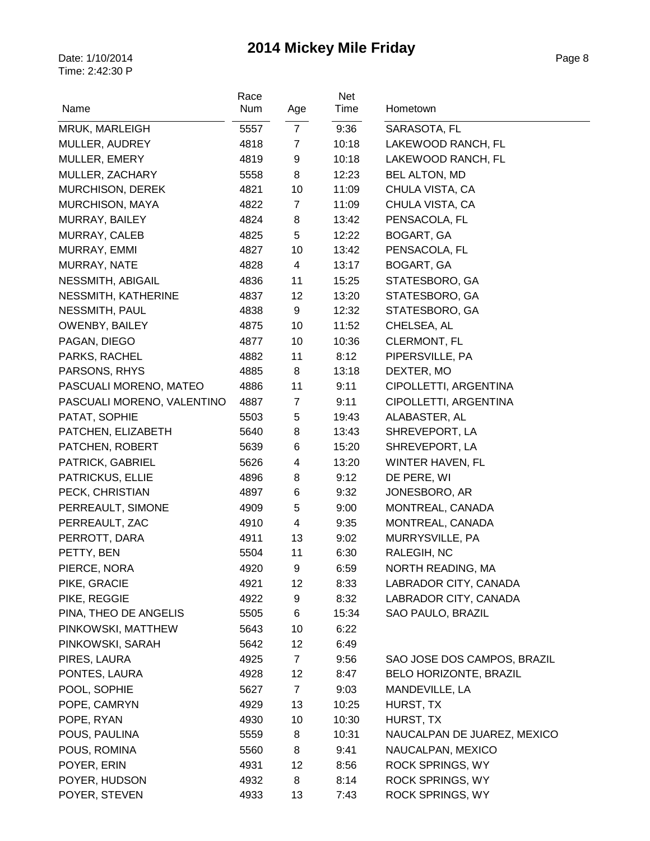| Name                       | Race<br>Num | Age            | Net<br>Time | Hometown                      |
|----------------------------|-------------|----------------|-------------|-------------------------------|
| MRUK, MARLEIGH             | 5557        | $\overline{7}$ | 9:36        | SARASOTA, FL                  |
| MULLER, AUDREY             | 4818        | $\overline{7}$ | 10:18       | LAKEWOOD RANCH, FL            |
| MULLER, EMERY              | 4819        | 9              | 10:18       | LAKEWOOD RANCH, FL            |
| MULLER, ZACHARY            | 5558        | 8              | 12:23       | <b>BEL ALTON, MD</b>          |
| <b>MURCHISON, DEREK</b>    | 4821        | 10             | 11:09       | CHULA VISTA, CA               |
| <b>MURCHISON, MAYA</b>     | 4822        | $\overline{7}$ | 11:09       | CHULA VISTA, CA               |
| MURRAY, BAILEY             | 4824        | 8              | 13:42       | PENSACOLA, FL                 |
| MURRAY, CALEB              | 4825        | 5              | 12:22       | <b>BOGART, GA</b>             |
| MURRAY, EMMI               | 4827        | 10             | 13:42       | PENSACOLA, FL                 |
| MURRAY, NATE               | 4828        | 4              | 13:17       | BOGART, GA                    |
| NESSMITH, ABIGAIL          | 4836        | 11             | 15:25       | STATESBORO, GA                |
| NESSMITH, KATHERINE        | 4837        | 12             | 13:20       | STATESBORO, GA                |
| NESSMITH, PAUL             | 4838        | 9              | 12:32       | STATESBORO, GA                |
| <b>OWENBY, BAILEY</b>      | 4875        | 10             | 11:52       | CHELSEA, AL                   |
| PAGAN, DIEGO               | 4877        | 10             | 10:36       | CLERMONT, FL                  |
| PARKS, RACHEL              | 4882        | 11             | 8:12        | PIPERSVILLE, PA               |
| PARSONS, RHYS              | 4885        | 8              | 13:18       | DEXTER, MO                    |
| PASCUALI MORENO, MATEO     | 4886        | 11             | 9:11        | CIPOLLETTI, ARGENTINA         |
| PASCUALI MORENO, VALENTINO | 4887        | 7              | 9:11        | CIPOLLETTI, ARGENTINA         |
| PATAT, SOPHIE              | 5503        | 5              | 19:43       | ALABASTER, AL                 |
| PATCHEN, ELIZABETH         | 5640        | 8              | 13:43       | SHREVEPORT, LA                |
| PATCHEN, ROBERT            | 5639        | 6              | 15:20       | SHREVEPORT, LA                |
| PATRICK, GABRIEL           | 5626        | 4              | 13:20       | WINTER HAVEN, FL              |
| PATRICKUS, ELLIE           | 4896        | 8              | 9:12        | DE PERE, WI                   |
| PECK, CHRISTIAN            | 4897        | 6              | 9:32        | JONESBORO, AR                 |
| PERREAULT, SIMONE          | 4909        | 5              | 9:00        | MONTREAL, CANADA              |
| PERREAULT, ZAC             | 4910        | 4              | 9:35        | MONTREAL, CANADA              |
| PERROTT, DARA              | 4911        | 13             | 9:02        | MURRYSVILLE, PA               |
| PETTY, BEN                 | 5504        | 11             | 6:30        | RALEGIH, NC                   |
| PIERCE, NORA               | 4920        | 9              | 6:59        | NORTH READING, MA             |
| PIKE, GRACIE               | 4921        | 12             | 8:33        | LABRADOR CITY, CANADA         |
| PIKE, REGGIE               | 4922        | 9              | 8:32        | LABRADOR CITY, CANADA         |
| PINA, THEO DE ANGELIS      | 5505        | 6              | 15:34       | SAO PAULO, BRAZIL             |
| PINKOWSKI, MATTHEW         | 5643        | 10             | 6:22        |                               |
| PINKOWSKI, SARAH           | 5642        | 12             | 6:49        |                               |
| PIRES, LAURA               | 4925        | $\overline{7}$ | 9:56        | SAO JOSE DOS CAMPOS, BRAZIL   |
| PONTES, LAURA              | 4928        | 12             | 8:47        | <b>BELO HORIZONTE, BRAZIL</b> |
| POOL, SOPHIE               | 5627        | $\overline{7}$ | 9:03        | MANDEVILLE, LA                |
| POPE, CAMRYN               | 4929        | 13             | 10:25       | HURST, TX                     |
| POPE, RYAN                 | 4930        | 10             | 10:30       | HURST, TX                     |
| POUS, PAULINA              | 5559        | 8              | 10:31       | NAUCALPAN DE JUAREZ, MEXICO   |
| POUS, ROMINA               | 5560        | 8              | 9:41        | NAUCALPAN, MEXICO             |
| POYER, ERIN                | 4931        | 12             | 8:56        | <b>ROCK SPRINGS, WY</b>       |
| POYER, HUDSON              | 4932        | 8              | 8:14        | <b>ROCK SPRINGS, WY</b>       |
| POYER, STEVEN              | 4933        | 13             | 7:43        | <b>ROCK SPRINGS, WY</b>       |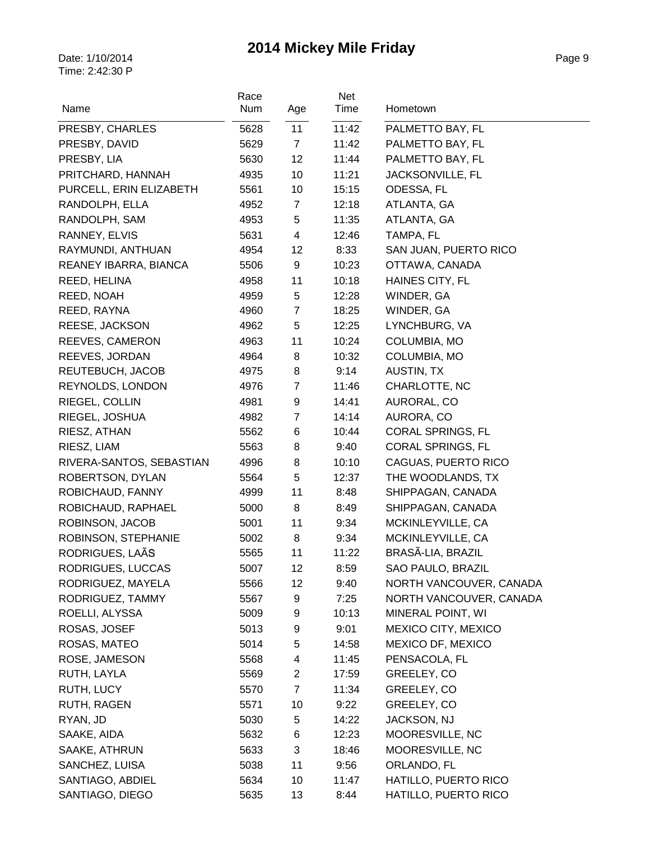| Name                     | Race<br>Num | Age              | Net<br>Time | Hometown                 |
|--------------------------|-------------|------------------|-------------|--------------------------|
| PRESBY, CHARLES          | 5628        | 11               | 11:42       | PALMETTO BAY, FL         |
| PRESBY, DAVID            | 5629        | $\overline{7}$   | 11:42       | PALMETTO BAY, FL         |
| PRESBY, LIA              | 5630        | 12               | 11:44       | PALMETTO BAY, FL         |
| PRITCHARD, HANNAH        | 4935        | 10               | 11:21       | JACKSONVILLE, FL         |
| PURCELL, ERIN ELIZABETH  | 5561        | 10               | 15:15       | ODESSA, FL               |
| RANDOLPH, ELLA           | 4952        | $\overline{7}$   | 12:18       | ATLANTA, GA              |
| RANDOLPH, SAM            | 4953        | 5                | 11:35       | ATLANTA, GA              |
| RANNEY, ELVIS            | 5631        | 4                | 12:46       | TAMPA, FL                |
| RAYMUNDI, ANTHUAN        | 4954        | 12               | 8:33        | SAN JUAN, PUERTO RICO    |
| REANEY IBARRA, BIANCA    | 5506        | $\boldsymbol{9}$ | 10:23       | OTTAWA, CANADA           |
| REED, HELINA             | 4958        | 11               | 10:18       | HAINES CITY, FL          |
| REED, NOAH               | 4959        | 5                | 12:28       | WINDER, GA               |
| REED, RAYNA              | 4960        | $\overline{7}$   | 18:25       | WINDER, GA               |
| REESE, JACKSON           | 4962        | 5                | 12:25       | LYNCHBURG, VA            |
| REEVES, CAMERON          | 4963        | 11               | 10:24       | COLUMBIA, MO             |
| REEVES, JORDAN           | 4964        | 8                | 10:32       | COLUMBIA, MO             |
| REUTEBUCH, JACOB         | 4975        | 8                | 9:14        | AUSTIN, TX               |
| REYNOLDS, LONDON         | 4976        | 7                | 11:46       | CHARLOTTE, NC            |
| RIEGEL, COLLIN           | 4981        | 9                | 14:41       | AURORAL, CO              |
| RIEGEL, JOSHUA           | 4982        | $\overline{7}$   | 14:14       | AURORA, CO               |
| RIESZ, ATHAN             | 5562        | 6                | 10:44       | CORAL SPRINGS, FL        |
| RIESZ, LIAM              | 5563        | 8                | 9:40        | <b>CORAL SPRINGS, FL</b> |
| RIVERA-SANTOS, SEBASTIAN | 4996        | 8                | 10:10       | CAGUAS, PUERTO RICO      |
| ROBERTSON, DYLAN         | 5564        | 5                | 12:37       | THE WOODLANDS, TX        |
| ROBICHAUD, FANNY         | 4999        | 11               | 8:48        | SHIPPAGAN, CANADA        |
| ROBICHAUD, RAPHAEL       | 5000        | 8                | 8:49        | SHIPPAGAN, CANADA        |
| ROBINSON, JACOB          | 5001        | 11               | 9:34        | MCKINLEYVILLE, CA        |
| ROBINSON, STEPHANIE      | 5002        | 8                | 9:34        | MCKINLEYVILLE, CA        |
| RODRIGUES, LAÃS          | 5565        | 11               | 11:22       | BRASÃ-LIA, BRAZIL        |
| RODRIGUES, LUCCAS        | 5007        | 12               | 8:59        | SAO PAULO, BRAZIL        |
| RODRIGUEZ, MAYELA        | 5566        | 12               | 9:40        | NORTH VANCOUVER, CANADA  |
| RODRIGUEZ, TAMMY         | 5567        | 9                | 7:25        | NORTH VANCOUVER, CANADA  |
| ROELLI, ALYSSA           | 5009        | 9                | 10:13       | MINERAL POINT, WI        |
| ROSAS, JOSEF             | 5013        | 9                | 9:01        | MEXICO CITY, MEXICO      |
| ROSAS, MATEO             | 5014        | 5                | 14:58       | MEXICO DF, MEXICO        |
| ROSE, JAMESON            | 5568        | 4                | 11:45       | PENSACOLA, FL            |
| RUTH, LAYLA              | 5569        | $\overline{2}$   | 17:59       | GREELEY, CO              |
| RUTH, LUCY               | 5570        | $\overline{7}$   | 11:34       | GREELEY, CO              |
| RUTH, RAGEN              | 5571        | 10               | 9:22        | GREELEY, CO              |
| RYAN, JD                 | 5030        | 5                | 14:22       | JACKSON, NJ              |
| SAAKE, AIDA              | 5632        | 6                | 12:23       | MOORESVILLE, NC          |
| SAAKE, ATHRUN            | 5633        | 3                | 18:46       | MOORESVILLE, NC          |
| SANCHEZ, LUISA           | 5038        | 11               | 9:56        | ORLANDO, FL              |
| SANTIAGO, ABDIEL         | 5634        | 10               | 11:47       | HATILLO, PUERTO RICO     |
| SANTIAGO, DIEGO          | 5635        | 13               | 8:44        | HATILLO, PUERTO RICO     |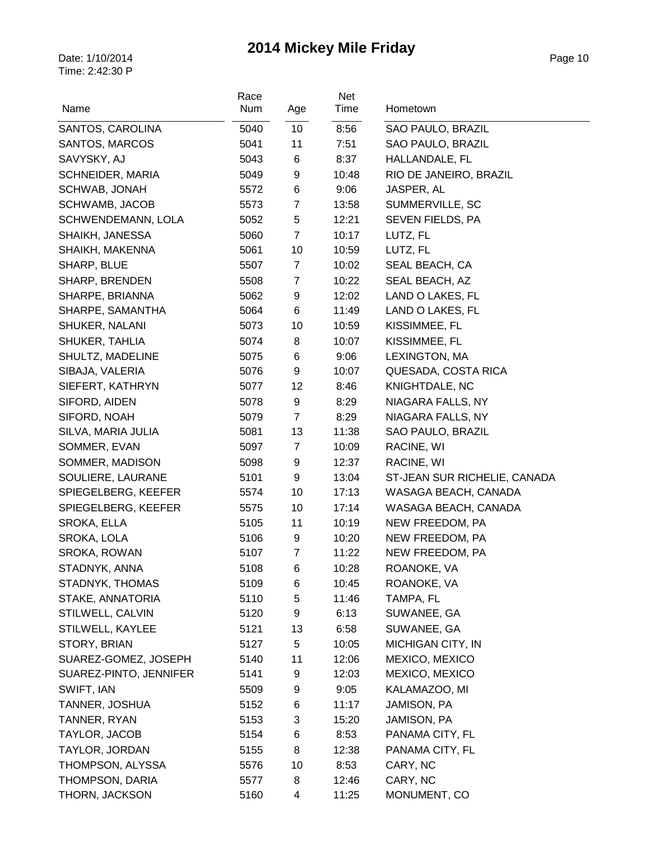| Name                   | Race<br>Num | Age            | Net<br>Time | Hometown                     |
|------------------------|-------------|----------------|-------------|------------------------------|
| SANTOS, CAROLINA       | 5040        | 10             | 8:56        | SAO PAULO, BRAZIL            |
| SANTOS, MARCOS         | 5041        | 11             | 7:51        | SAO PAULO, BRAZIL            |
| SAVYSKY, AJ            | 5043        | 6              | 8:37        | HALLANDALE, FL               |
| SCHNEIDER, MARIA       | 5049        | 9              | 10:48       | RIO DE JANEIRO, BRAZIL       |
| SCHWAB, JONAH          | 5572        | 6              | 9:06        | JASPER, AL                   |
| SCHWAMB, JACOB         | 5573        | $\overline{7}$ | 13:58       | SUMMERVILLE, SC              |
| SCHWENDEMANN, LOLA     | 5052        | 5              | 12:21       | SEVEN FIELDS, PA             |
| SHAIKH, JANESSA        | 5060        | $\overline{7}$ | 10:17       | LUTZ, FL                     |
| SHAIKH, MAKENNA        | 5061        | 10             | 10:59       | LUTZ, FL                     |
| SHARP, BLUE            | 5507        | $\overline{7}$ | 10:02       | SEAL BEACH, CA               |
| SHARP, BRENDEN         | 5508        | $\overline{7}$ | 10:22       | SEAL BEACH, AZ               |
| SHARPE, BRIANNA        | 5062        | 9              | 12:02       | LAND O LAKES, FL             |
| SHARPE, SAMANTHA       | 5064        | 6              | 11:49       | LAND O LAKES, FL             |
| SHUKER, NALANI         | 5073        | 10             | 10:59       | KISSIMMEE, FL                |
| <b>SHUKER, TAHLIA</b>  | 5074        | 8              | 10:07       | KISSIMMEE, FL                |
| SHULTZ, MADELINE       | 5075        | 6              | 9:06        | LEXINGTON, MA                |
| SIBAJA, VALERIA        | 5076        | 9              | 10:07       | QUESADA, COSTA RICA          |
| SIEFERT, KATHRYN       | 5077        | 12             | 8:46        | KNIGHTDALE, NC               |
| SIFORD, AIDEN          | 5078        | 9              | 8:29        | NIAGARA FALLS, NY            |
| SIFORD, NOAH           | 5079        | $\overline{7}$ | 8:29        | NIAGARA FALLS, NY            |
| SILVA, MARIA JULIA     | 5081        | 13             | 11:38       | SAO PAULO, BRAZIL            |
| SOMMER, EVAN           | 5097        | $\overline{7}$ | 10:09       | RACINE, WI                   |
| SOMMER, MADISON        | 5098        | 9              | 12:37       | RACINE, WI                   |
| SOULIERE, LAURANE      | 5101        | 9              | 13:04       | ST-JEAN SUR RICHELIE, CANADA |
| SPIEGELBERG, KEEFER    | 5574        | 10             | 17:13       | WASAGA BEACH, CANADA         |
| SPIEGELBERG, KEEFER    | 5575        | 10             | 17:14       | WASAGA BEACH, CANADA         |
| SROKA, ELLA            | 5105        | 11             | 10:19       | NEW FREEDOM, PA              |
| SROKA, LOLA            | 5106        | 9              | 10:20       | NEW FREEDOM, PA              |
| SROKA, ROWAN           | 5107        | $\overline{7}$ | 11:22       | NEW FREEDOM, PA              |
| STADNYK, ANNA          | 5108        | 6              | 10:28       | ROANOKE, VA                  |
| STADNYK, THOMAS        | 5109        | 6              | 10:45       | ROANOKE, VA                  |
| STAKE, ANNATORIA       | 5110        | 5              | 11:46       | TAMPA, FL                    |
| STILWELL, CALVIN       | 5120        | 9              | 6:13        | SUWANEE, GA                  |
| STILWELL, KAYLEE       | 5121        | 13             | 6:58        | SUWANEE, GA                  |
| STORY, BRIAN           | 5127        | 5              | 10:05       | <b>MICHIGAN CITY, IN</b>     |
| SUAREZ-GOMEZ, JOSEPH   | 5140        | 11             | 12:06       | MEXICO, MEXICO               |
| SUAREZ-PINTO, JENNIFER | 5141        | 9              | 12:03       | MEXICO, MEXICO               |
| SWIFT, IAN             | 5509        | 9              | 9:05        | KALAMAZOO, MI                |
| TANNER, JOSHUA         | 5152        | 6              | 11:17       | JAMISON, PA                  |
| TANNER, RYAN           | 5153        | 3              | 15:20       | JAMISON, PA                  |
| TAYLOR, JACOB          | 5154        | 6              | 8:53        | PANAMA CITY, FL              |
| TAYLOR, JORDAN         | 5155        | 8              | 12:38       | PANAMA CITY, FL              |
| THOMPSON, ALYSSA       | 5576        | 10             | 8:53        | CARY, NC                     |
| THOMPSON, DARIA        | 5577        | 8              | 12:46       | CARY, NC                     |
| THORN, JACKSON         | 5160        | 4              | 11:25       | MONUMENT, CO                 |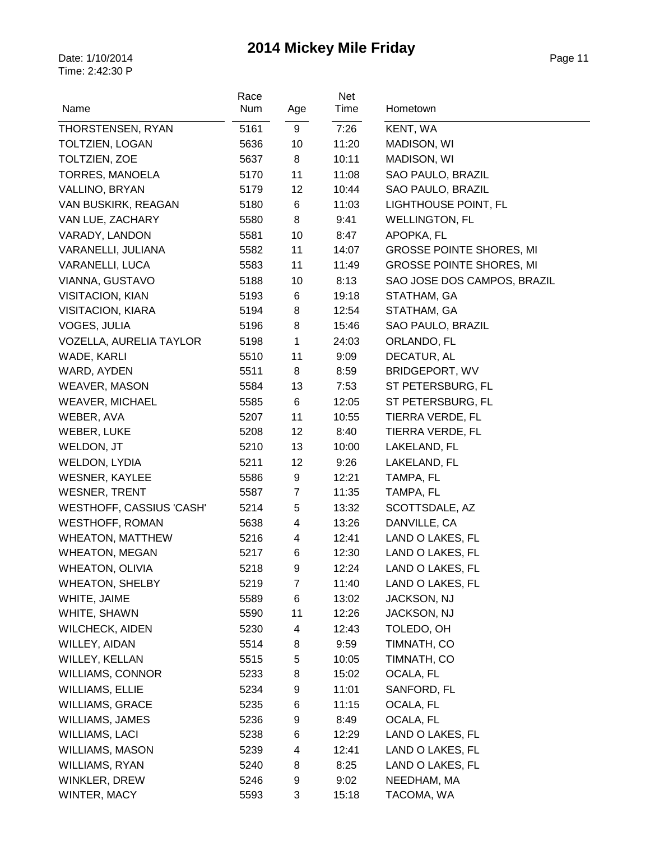| Name                     | Race<br>Num | Age            | Net<br>Time | Hometown                        |
|--------------------------|-------------|----------------|-------------|---------------------------------|
| THORSTENSEN, RYAN        | 5161        | 9              | 7:26        | KENT, WA                        |
| <b>TOLTZIEN, LOGAN</b>   | 5636        | 10             | 11:20       | <b>MADISON, WI</b>              |
| TOLTZIEN, ZOE            | 5637        | 8              | 10:11       | <b>MADISON, WI</b>              |
| <b>TORRES, MANOELA</b>   | 5170        | 11             | 11:08       | SAO PAULO, BRAZIL               |
| VALLINO, BRYAN           | 5179        | 12             | 10:44       | SAO PAULO, BRAZIL               |
| VAN BUSKIRK, REAGAN      | 5180        | 6              | 11:03       | LIGHTHOUSE POINT, FL            |
| VAN LUE, ZACHARY         | 5580        | 8              | 9:41        | <b>WELLINGTON, FL</b>           |
| VARADY, LANDON           | 5581        | 10             | 8:47        | APOPKA, FL                      |
| VARANELLI, JULIANA       | 5582        | 11             | 14:07       | <b>GROSSE POINTE SHORES, MI</b> |
| VARANELLI, LUCA          | 5583        | 11             | 11:49       | <b>GROSSE POINTE SHORES, MI</b> |
| VIANNA, GUSTAVO          | 5188        | 10             | 8:13        | SAO JOSE DOS CAMPOS, BRAZIL     |
| <b>VISITACION, KIAN</b>  | 5193        | 6              | 19:18       | STATHAM, GA                     |
| <b>VISITACION, KIARA</b> | 5194        | 8              | 12:54       | STATHAM, GA                     |
| VOGES, JULIA             | 5196        | 8              | 15:46       | SAO PAULO, BRAZIL               |
| VOZELLA, AURELIA TAYLOR  | 5198        | 1              | 24:03       | ORLANDO, FL                     |
| WADE, KARLI              | 5510        | 11             | 9:09        | DECATUR, AL                     |
| WARD, AYDEN              | 5511        | 8              | 8:59        | <b>BRIDGEPORT, WV</b>           |
| <b>WEAVER, MASON</b>     | 5584        | 13             | 7:53        | ST PETERSBURG, FL               |
| <b>WEAVER, MICHAEL</b>   | 5585        | 6              | 12:05       | ST PETERSBURG, FL               |
| WEBER, AVA               | 5207        | 11             | 10:55       | TIERRA VERDE, FL                |
| WEBER, LUKE              | 5208        | 12             | 8:40        | TIERRA VERDE, FL                |
| WELDON, JT               | 5210        | 13             | 10:00       | LAKELAND, FL                    |
| <b>WELDON, LYDIA</b>     | 5211        | 12             | 9:26        | LAKELAND, FL                    |
| <b>WESNER, KAYLEE</b>    | 5586        | 9              | 12:21       | TAMPA, FL                       |
| <b>WESNER, TRENT</b>     | 5587        | $\overline{7}$ | 11:35       | TAMPA, FL                       |
| WESTHOFF, CASSIUS 'CASH' | 5214        | 5              | 13:32       | SCOTTSDALE, AZ                  |
| <b>WESTHOFF, ROMAN</b>   | 5638        | 4              | 13:26       | DANVILLE, CA                    |
| <b>WHEATON, MATTHEW</b>  | 5216        | 4              | 12:41       | LAND O LAKES, FL                |
| <b>WHEATON, MEGAN</b>    | 5217        | 6              | 12:30       | LAND O LAKES, FL                |
| <b>WHEATON, OLIVIA</b>   | 5218        | 9              | 12:24       | LAND O LAKES, FL                |
| <b>WHEATON, SHELBY</b>   | 5219        | 7              | 11:40       | LAND O LAKES, FL                |
| WHITE, JAIME             | 5589        | 6              | 13:02       | JACKSON, NJ                     |
| WHITE, SHAWN             | 5590        | 11             | 12:26       | JACKSON, NJ                     |
| <b>WILCHECK, AIDEN</b>   | 5230        | 4              | 12:43       | TOLEDO, OH                      |
| WILLEY, AIDAN            | 5514        | 8              | 9:59        | TIMNATH, CO                     |
| WILLEY, KELLAN           | 5515        | 5              | 10:05       | TIMNATH, CO                     |
| <b>WILLIAMS, CONNOR</b>  | 5233        | 8              | 15:02       | OCALA, FL                       |
| <b>WILLIAMS, ELLIE</b>   | 5234        | 9              | 11:01       | SANFORD, FL                     |
| <b>WILLIAMS, GRACE</b>   | 5235        | 6              | 11:15       | OCALA, FL                       |
| WILLIAMS, JAMES          | 5236        | 9              | 8:49        | OCALA, FL                       |
| <b>WILLIAMS, LACI</b>    | 5238        | 6              | 12:29       | LAND O LAKES, FL                |
| WILLIAMS, MASON          | 5239        | 4              | 12:41       | LAND O LAKES, FL                |
| <b>WILLIAMS, RYAN</b>    | 5240        | 8              | 8:25        | LAND O LAKES, FL                |
| WINKLER, DREW            | 5246        | 9              | 9:02        | NEEDHAM, MA                     |
| WINTER, MACY             | 5593        | 3              | 15:18       | TACOMA, WA                      |